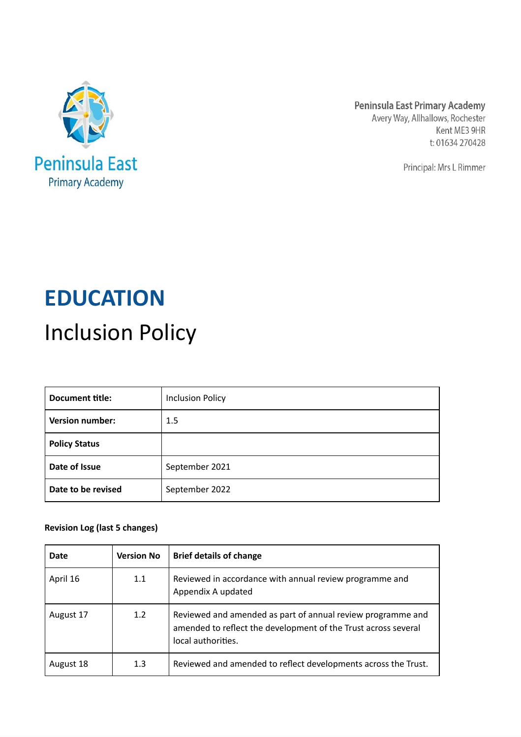

Peninsula East Primary Academy Avery Way, Allhallows, Rochester Kent ME3 9HR t: 01634 270428

Principal: Mrs L Rimmer

# **EDUCATION** Inclusion Policy

| Document title:        | <b>Inclusion Policy</b> |
|------------------------|-------------------------|
| <b>Version number:</b> | 1.5                     |
| <b>Policy Status</b>   |                         |
| Date of Issue          | September 2021          |
| Date to be revised     | September 2022          |

# **Revision Log (last 5 changes)**

| Date      | <b>Version No</b> | <b>Brief details of change</b>                                                                                                                      |
|-----------|-------------------|-----------------------------------------------------------------------------------------------------------------------------------------------------|
| April 16  | 1.1               | Reviewed in accordance with annual review programme and<br>Appendix A updated                                                                       |
| August 17 | 1.2               | Reviewed and amended as part of annual review programme and<br>amended to reflect the development of the Trust across several<br>local authorities. |
| August 18 | 1.3               | Reviewed and amended to reflect developments across the Trust.                                                                                      |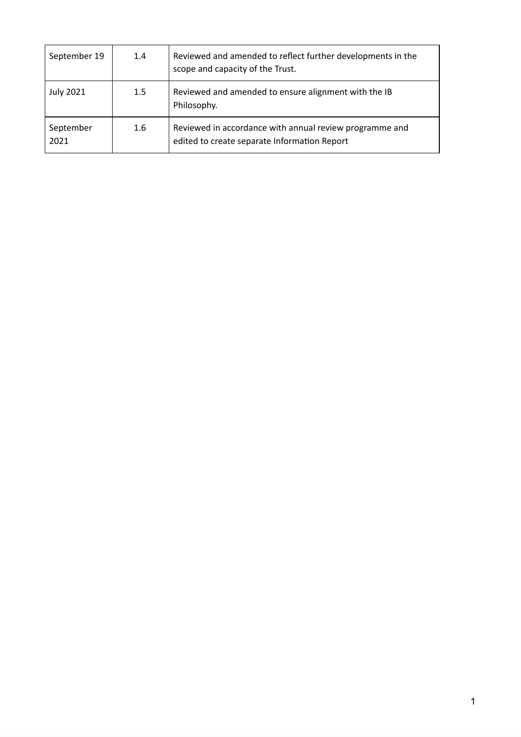| September 19      | 1.4 | Reviewed and amended to reflect further developments in the<br>scope and capacity of the Trust.         |
|-------------------|-----|---------------------------------------------------------------------------------------------------------|
| <b>July 2021</b>  | 1.5 | Reviewed and amended to ensure alignment with the IB<br>Philosophy.                                     |
| September<br>2021 | 1.6 | Reviewed in accordance with annual review programme and<br>edited to create separate Information Report |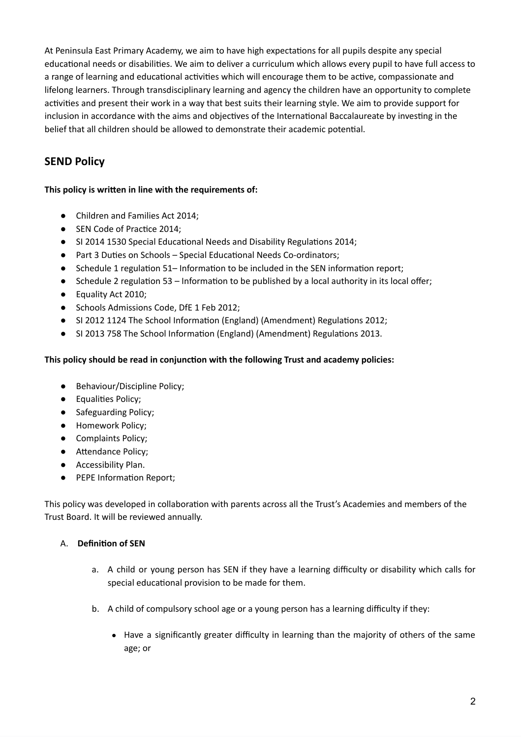At Peninsula East Primary Academy, we aim to have high expectations for all pupils despite any special educational needs or disabilities. We aim to deliver a curriculum which allows every pupil to have full access to a range of learning and educational activities which will encourage them to be active, compassionate and lifelong learners. Through transdisciplinary learning and agency the children have an opportunity to complete activities and present their work in a way that best suits their learning style. We aim to provide support for inclusion in accordance with the aims and objectives of the International Baccalaureate by investing in the belief that all children should be allowed to demonstrate their academic potential.

# **SEND Policy**

### **This policy is written in line with the requirements of:**

- Children and Families Act 2014;
- SEN Code of Practice 2014;
- SI 2014 1530 Special Educational Needs and Disability Regulations 2014;
- Part 3 Duties on Schools Special Educational Needs Co-ordinators;
- Schedule 1 regulation 51– Information to be included in the SEN information report;
- Schedule 2 regulation 53 Information to be published by a local authority in its local offer;
- Equality Act 2010;
- Schools Admissions Code, DfE 1 Feb 2012;
- SI 2012 1124 The School Information (England) (Amendment) Regulations 2012;
- SI 2013 758 The School Information (England) (Amendment) Regulations 2013.

#### **This policy should be read in conjunction with the following Trust and academy policies:**

- Behaviour/Discipline Policy;
- Equalities Policy;
- Safeguarding Policy;
- Homework Policy;
- Complaints Policy;
- Attendance Policy;
- Accessibility Plan.
- PEPE Information Report;

This policy was developed in collaboration with parents across all the Trust's Academies and members of the Trust Board. It will be reviewed annually.

#### A. **Definition of SEN**

- a. A child or young person has SEN if they have a learning difficulty or disability which calls for special educational provision to be made for them.
- b. A child of compulsory school age or a young person has a learning difficulty if they:
	- Have a significantly greater difficulty in learning than the majority of others of the same age; or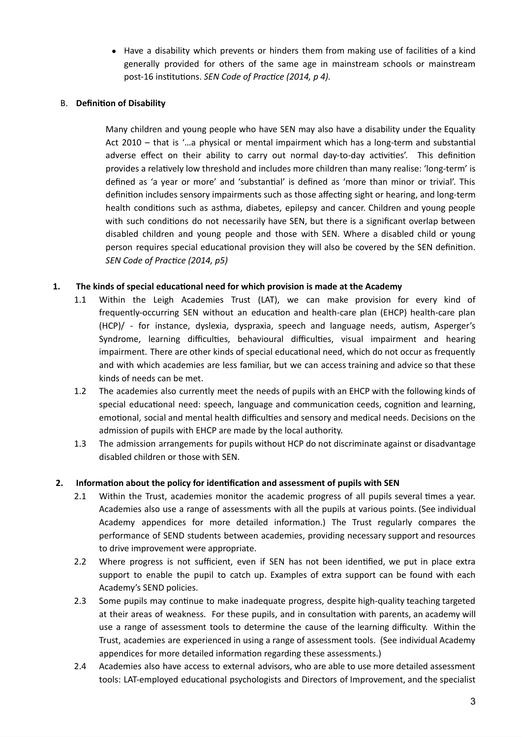● Have a disability which prevents or hinders them from making use of facilities of a kind generally provided for others of the same age in mainstream schools or mainstream post-16 institutions. *SEN Code of Practice (2014, p 4).*

#### B. **Definition of Disability**

Many children and young people who have SEN may also have a disability under the Equality Act 2010 – that is '…a physical or mental impairment which has a long-term and substantial adverse effect on their ability to carry out normal day-to-day activities'. This definition provides a relatively low threshold and includes more children than many realise: 'long-term' is defined as 'a year or more' and 'substantial' is defined as 'more than minor or trivial'. This definition includes sensory impairments such as those affecting sight or hearing, and long-term health conditions such as asthma, diabetes, epilepsy and cancer. Children and young people with such conditions do not necessarily have SEN, but there is a significant overlap between disabled children and young people and those with SEN. Where a disabled child or young person requires special educational provision they will also be covered by the SEN definition. *SEN Code of Practice (2014, p5)*

#### **1. The kinds of special educational need for which provision is made at the Academy**

- 1.1 Within the Leigh Academies Trust (LAT), we can make provision for every kind of frequently-occurring SEN without an education and health-care plan (EHCP) health-care plan (HCP)/ - for instance, dyslexia, dyspraxia, speech and language needs, autism, Asperger's Syndrome, learning difficulties, behavioural difficulties, visual impairment and hearing impairment. There are other kinds of special educational need, which do not occur as frequently and with which academies are less familiar, but we can access training and advice so that these kinds of needs can be met.
- 1.2 The academies also currently meet the needs of pupils with an EHCP with the following kinds of special educational need: speech, language and communication ceeds, cognition and learning, emotional, social and mental health difficulties and sensory and medical needs. Decisions on the admission of pupils with EHCP are made by the local authority.
- 1.3 The admission arrangements for pupils without HCP do not discriminate against or disadvantage disabled children or those with SEN.

#### **2. Information about the policy for identification and assessment of pupils with SEN**

- 2.1 Within the Trust, academies monitor the academic progress of all pupils several times a year. Academies also use a range of assessments with all the pupils at various points. (See individual Academy appendices for more detailed information.) The Trust regularly compares the performance of SEND students between academies, providing necessary support and resources to drive improvement were appropriate.
- 2.2 Where progress is not sufficient, even if SEN has not been identified, we put in place extra support to enable the pupil to catch up. Examples of extra support can be found with each Academy's SEND policies.
- 2.3 Some pupils may continue to make inadequate progress, despite high-quality teaching targeted at their areas of weakness. For these pupils, and in consultation with parents, an academy will use a range of assessment tools to determine the cause of the learning difficulty. Within the Trust, academies are experienced in using a range of assessment tools. (See individual Academy appendices for more detailed information regarding these assessments.)
- 2.4 Academies also have access to external advisors, who are able to use more detailed assessment tools: LAT-employed educational psychologists and Directors of Improvement, and the specialist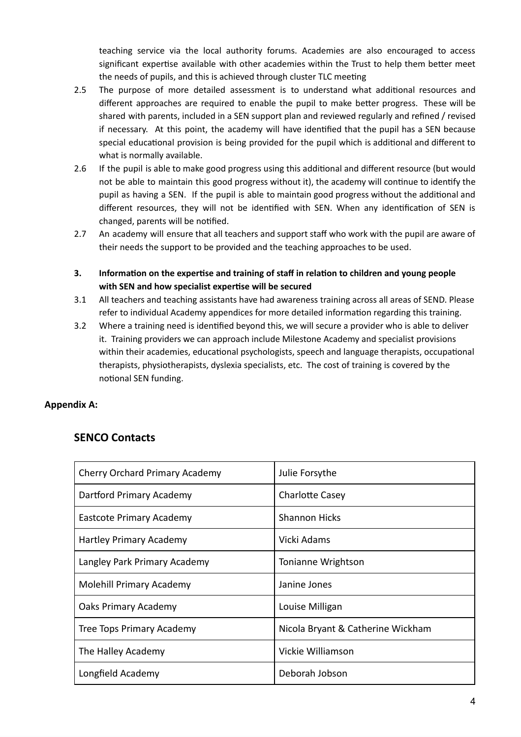teaching service via the local authority forums. Academies are also encouraged to access significant expertise available with other academies within the Trust to help them better meet the needs of pupils, and this is achieved through cluster TLC meeting

- 2.5 The purpose of more detailed assessment is to understand what additional resources and different approaches are required to enable the pupil to make better progress. These will be shared with parents, included in a SEN support plan and reviewed regularly and refined / revised if necessary. At this point, the academy will have identified that the pupil has a SEN because special educational provision is being provided for the pupil which is additional and different to what is normally available.
- 2.6 If the pupil is able to make good progress using this additional and different resource (but would not be able to maintain this good progress without it), the academy will continue to identify the pupil as having a SEN. If the pupil is able to maintain good progress without the additional and different resources, they will not be identified with SEN. When any identification of SEN is changed, parents will be notified.
- 2.7 An academy will ensure that all teachers and support staff who work with the pupil are aware of their needs the support to be provided and the teaching approaches to be used.
- **3. Information on the expertise and training of staff in relation to children and young people with SEN and how specialist expertise will be secured**
- 3.1 All teachers and teaching assistants have had awareness training across all areas of SEND. Please refer to individual Academy appendices for more detailed information regarding this training.
- 3.2 Where a training need is identified beyond this, we will secure a provider who is able to deliver it. Training providers we can approach include Milestone Academy and specialist provisions within their academies, educational psychologists, speech and language therapists, occupational therapists, physiotherapists, dyslexia specialists, etc. The cost of training is covered by the notional SEN funding.

# **Appendix A:**

# **SENCO Contacts**

| <b>Cherry Orchard Primary Academy</b> | Julie Forsythe                    |
|---------------------------------------|-----------------------------------|
| Dartford Primary Academy              | <b>Charlotte Casey</b>            |
| Eastcote Primary Academy              | <b>Shannon Hicks</b>              |
| Hartley Primary Academy               | Vicki Adams                       |
| Langley Park Primary Academy          | Tonianne Wrightson                |
| Molehill Primary Academy              | Janine Jones                      |
| Oaks Primary Academy                  | Louise Milligan                   |
| Tree Tops Primary Academy             | Nicola Bryant & Catherine Wickham |
| The Halley Academy                    | Vickie Williamson                 |
| Longfield Academy                     | Deborah Jobson                    |